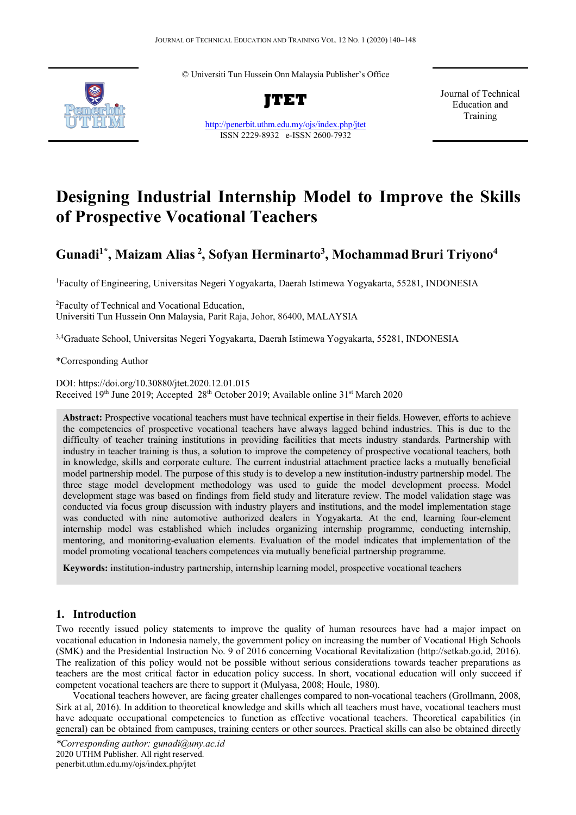© Universiti Tun Hussein Onn Malaysia Publisher's Office



**JTET**

http://penerbit.uthm.edu.my/ojs/index.php/jtet ISSN 2229-8932 e-ISSN 2600-7932

Journal of Technical Education and Training

# **Designing Industrial Internship Model to Improve the Skills of Prospective Vocational Teachers**

# **Gunadi1\* , Maizam Alias <sup>2</sup> , Sofyan Herminarto3 , Mochammad Bruri Triyono4**

1 Faculty of Engineering, Universitas Negeri Yogyakarta, Daerah Istimewa Yogyakarta, 55281, INDONESIA

2 Faculty of Technical and Vocational Education, Universiti Tun Hussein Onn Malaysia, Parit Raja, Johor, 86400, MALAYSIA

<sup>3,4</sup>Graduate School, Universitas Negeri Yogyakarta, Daerah Istimewa Yogyakarta, 55281, INDONESIA

\*Corresponding Author

DOI: https://doi.org/10.30880/jtet.2020.12.01.015 Received 19th June 2019; Accepted 28th October 2019; Available online 31<sup>st</sup> March 2020

**Abstract:** Prospective vocational teachers must have technical expertise in their fields. However, efforts to achieve the competencies of prospective vocational teachers have always lagged behind industries. This is due to the difficulty of teacher training institutions in providing facilities that meets industry standards. Partnership with industry in teacher training is thus, a solution to improve the competency of prospective vocational teachers, both in knowledge, skills and corporate culture. The current industrial attachment practice lacks a mutually beneficial model partnership model. The purpose of this study is to develop a new institution-industry partnership model. The three stage model development methodology was used to guide the model development process. Model development stage was based on findings from field study and literature review. The model validation stage was conducted via focus group discussion with industry players and institutions, and the model implementation stage was conducted with nine automotive authorized dealers in Yogyakarta. At the end, learning four-element internship model was established which includes organizing internship programme, conducting internship, mentoring, and monitoring-evaluation elements. Evaluation of the model indicates that implementation of the model promoting vocational teachers competences via mutually beneficial partnership programme.

**Keywords:** institution-industry partnership, internship learning model, prospective vocational teachers

### **1. Introduction**

Two recently issued policy statements to improve the quality of human resources have had a major impact on vocational education in Indonesia namely, the government policy on increasing the number of Vocational High Schools (SMK) and the Presidential Instruction No. 9 of 2016 concerning Vocational Revitalization (http://setkab.go.id, 2016). The realization of this policy would not be possible without serious considerations towards teacher preparations as teachers are the most critical factor in education policy success. In short, vocational education will only succeed if competent vocational teachers are there to support it (Mulyasa, 2008; Houle, 1980).

Vocational teachers however, are facing greater challenges compared to non-vocational teachers (Grollmann, 2008, Sirk at al, 2016). In addition to theoretical knowledge and skills which all teachers must have, vocational teachers must have adequate occupational competencies to function as effective vocational teachers. Theoretical capabilities (in general) can be obtained from campuses, training centers or other sources. Practical skills can also be obtained directly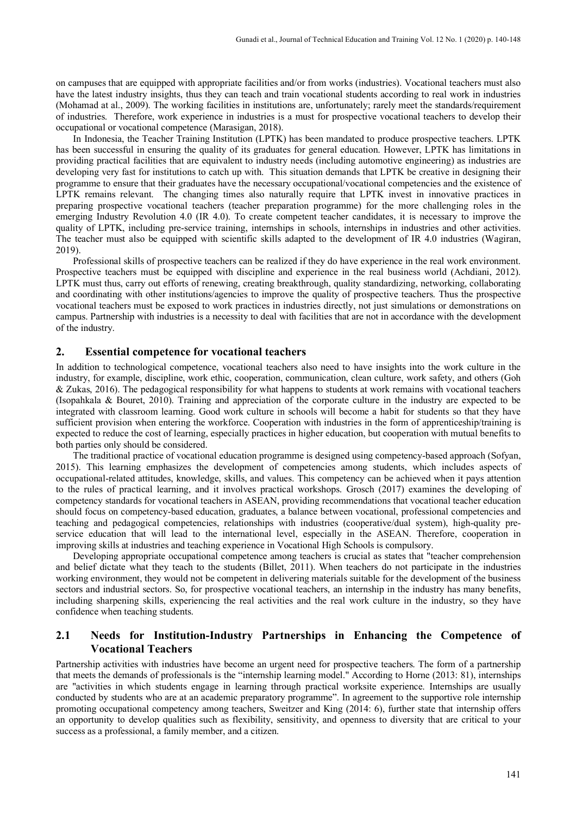on campuses that are equipped with appropriate facilities and/or from works (industries). Vocational teachers must also have the latest industry insights, thus they can teach and train vocational students according to real work in industries (Mohamad at al., 2009). The working facilities in institutions are, unfortunately; rarely meet the standards/requirement of industries. Therefore, work experience in industries is a must for prospective vocational teachers to develop their occupational or vocational competence (Marasigan, 2018).

In Indonesia, the Teacher Training Institution (LPTK) has been mandated to produce prospective teachers. LPTK has been successful in ensuring the quality of its graduates for general education. However, LPTK has limitations in providing practical facilities that are equivalent to industry needs (including automotive engineering) as industries are developing very fast for institutions to catch up with. This situation demands that LPTK be creative in designing their programme to ensure that their graduates have the necessary occupational/vocational competencies and the existence of LPTK remains relevant. The changing times also naturally require that LPTK invest in innovative practices in preparing prospective vocational teachers (teacher preparation programme) for the more challenging roles in the emerging Industry Revolution 4.0 (IR 4.0). To create competent teacher candidates, it is necessary to improve the quality of LPTK, including pre-service training, internships in schools, internships in industries and other activities. The teacher must also be equipped with scientific skills adapted to the development of IR 4.0 industries (Wagiran, 2019).

Professional skills of prospective teachers can be realized if they do have experience in the real work environment. Prospective teachers must be equipped with discipline and experience in the real business world (Achdiani, 2012). LPTK must thus, carry out efforts of renewing, creating breakthrough, quality standardizing, networking, collaborating and coordinating with other institutions/agencies to improve the quality of prospective teachers. Thus the prospective vocational teachers must be exposed to work practices in industries directly, not just simulations or demonstrations on campus. Partnership with industries is a necessity to deal with facilities that are not in accordance with the development of the industry.

#### **2. Essential competence for vocational teachers**

In addition to technological competence, vocational teachers also need to have insights into the work culture in the industry, for example, discipline, work ethic, cooperation, communication, clean culture, work safety, and others (Goh & Zukas, 2016). The pedagogical responsibility for what happens to students at work remains with vocational teachers (Isopahkala & Bouret, 2010). Training and appreciation of the corporate culture in the industry are expected to be integrated with classroom learning. Good work culture in schools will become a habit for students so that they have sufficient provision when entering the workforce. Cooperation with industries in the form of apprenticeship/training is expected to reduce the cost of learning, especially practices in higher education, but cooperation with mutual benefits to both parties only should be considered.

The traditional practice of vocational education programme is designed using competency-based approach (Sofyan, 2015). This learning emphasizes the development of competencies among students, which includes aspects of occupational-related attitudes, knowledge, skills, and values. This competency can be achieved when it pays attention to the rules of practical learning, and it involves practical workshops. Grosch (2017) examines the developing of competency standards for vocational teachers in ASEAN, providing recommendations that vocational teacher education should focus on competency-based education, graduates, a balance between vocational, professional competencies and teaching and pedagogical competencies, relationships with industries (cooperative/dual system), high-quality preservice education that will lead to the international level, especially in the ASEAN. Therefore, cooperation in improving skills at industries and teaching experience in Vocational High Schools is compulsory.

Developing appropriate occupational competence among teachers is crucial as states that "teacher comprehension and belief dictate what they teach to the students (Billet, 2011). When teachers do not participate in the industries working environment, they would not be competent in delivering materials suitable for the development of the business sectors and industrial sectors. So, for prospective vocational teachers, an internship in the industry has many benefits, including sharpening skills, experiencing the real activities and the real work culture in the industry, so they have confidence when teaching students.

# **2.1 Needs for Institution-Industry Partnerships in Enhancing the Competence of Vocational Teachers**

Partnership activities with industries have become an urgent need for prospective teachers. The form of a partnership that meets the demands of professionals is the "internship learning model." According to Horne (2013: 81), internships are "activities in which students engage in learning through practical worksite experience. Internships are usually conducted by students who are at an academic preparatory programme". In agreement to the supportive role internship promoting occupational competency among teachers, Sweitzer and King (2014: 6), further state that internship offers an opportunity to develop qualities such as flexibility, sensitivity, and openness to diversity that are critical to your success as a professional, a family member, and a citizen.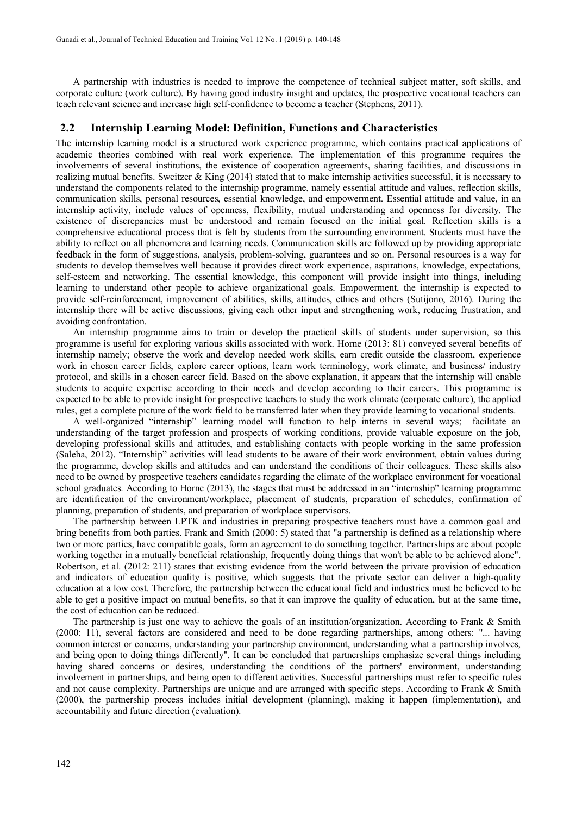A partnership with industries is needed to improve the competence of technical subject matter, soft skills, and corporate culture (work culture). By having good industry insight and updates, the prospective vocational teachers can teach relevant science and increase high self-confidence to become a teacher (Stephens, 2011).

#### **2.2 Internship Learning Model: Definition, Functions and Characteristics**

The internship learning model is a structured work experience programme, which contains practical applications of academic theories combined with real work experience. The implementation of this programme requires the involvements of several institutions, the existence of cooperation agreements, sharing facilities, and discussions in realizing mutual benefits. Sweitzer & King (2014) stated that to make internship activities successful, it is necessary to understand the components related to the internship programme, namely essential attitude and values, reflection skills, communication skills, personal resources, essential knowledge, and empowerment. Essential attitude and value, in an internship activity, include values of openness, flexibility, mutual understanding and openness for diversity. The existence of discrepancies must be understood and remain focused on the initial goal. Reflection skills is a comprehensive educational process that is felt by students from the surrounding environment. Students must have the ability to reflect on all phenomena and learning needs. Communication skills are followed up by providing appropriate feedback in the form of suggestions, analysis, problem-solving, guarantees and so on. Personal resources is a way for students to develop themselves well because it provides direct work experience, aspirations, knowledge, expectations, self-esteem and networking. The essential knowledge, this component will provide insight into things, including learning to understand other people to achieve organizational goals. Empowerment, the internship is expected to provide self-reinforcement, improvement of abilities, skills, attitudes, ethics and others (Sutijono, 2016). During the internship there will be active discussions, giving each other input and strengthening work, reducing frustration, and avoiding confrontation.

An internship programme aims to train or develop the practical skills of students under supervision, so this programme is useful for exploring various skills associated with work. Horne (2013: 81) conveyed several benefits of internship namely; observe the work and develop needed work skills, earn credit outside the classroom, experience work in chosen career fields, explore career options, learn work terminology, work climate, and business/ industry protocol, and skills in a chosen career field. Based on the above explanation, it appears that the internship will enable students to acquire expertise according to their needs and develop according to their careers. This programme is expected to be able to provide insight for prospective teachers to study the work climate (corporate culture), the applied rules, get a complete picture of the work field to be transferred later when they provide learning to vocational students.

A well-organized "internship" learning model will function to help interns in several ways; facilitate an understanding of the target profession and prospects of working conditions, provide valuable exposure on the job, developing professional skills and attitudes, and establishing contacts with people working in the same profession (Saleha, 2012). "Internship" activities will lead students to be aware of their work environment, obtain values during the programme, develop skills and attitudes and can understand the conditions of their colleagues. These skills also need to be owned by prospective teachers candidates regarding the climate of the workplace environment for vocational school graduates. According to Horne (2013), the stages that must be addressed in an "internship" learning programme are identification of the environment/workplace, placement of students, preparation of schedules, confirmation of planning, preparation of students, and preparation of workplace supervisors.

The partnership between LPTK and industries in preparing prospective teachers must have a common goal and bring benefits from both parties. Frank and Smith (2000: 5) stated that "a partnership is defined as a relationship where two or more parties, have compatible goals, form an agreement to do something together. Partnerships are about people working together in a mutually beneficial relationship, frequently doing things that won't be able to be achieved alone". Robertson, et al. (2012: 211) states that existing evidence from the world between the private provision of education and indicators of education quality is positive, which suggests that the private sector can deliver a high-quality education at a low cost. Therefore, the partnership between the educational field and industries must be believed to be able to get a positive impact on mutual benefits, so that it can improve the quality of education, but at the same time, the cost of education can be reduced.

The partnership is just one way to achieve the goals of an institution/organization. According to Frank & Smith (2000: 11), several factors are considered and need to be done regarding partnerships, among others: "... having common interest or concerns, understanding your partnership environment, understanding what a partnership involves, and being open to doing things differently". It can be concluded that partnerships emphasize several things including having shared concerns or desires, understanding the conditions of the partners' environment, understanding involvement in partnerships, and being open to different activities. Successful partnerships must refer to specific rules and not cause complexity. Partnerships are unique and are arranged with specific steps. According to Frank & Smith (2000), the partnership process includes initial development (planning), making it happen (implementation), and accountability and future direction (evaluation).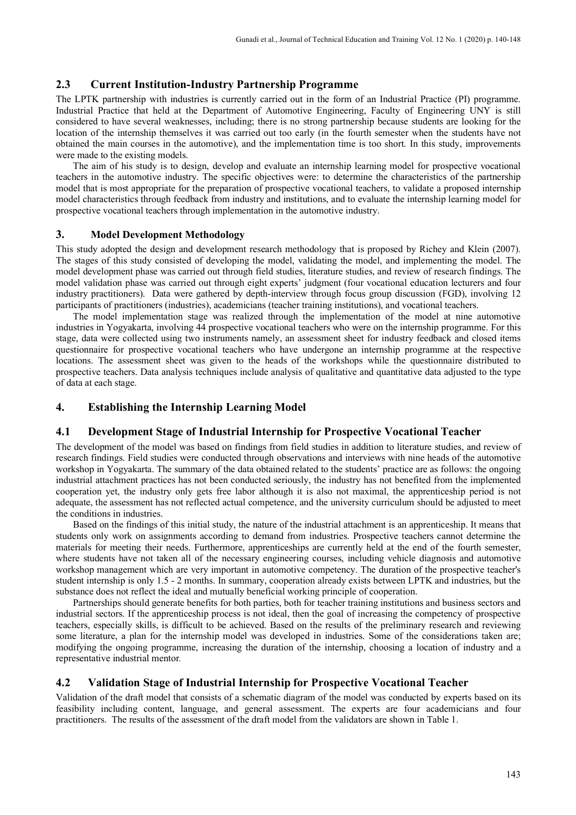# **2.3 Current Institution-Industry Partnership Programme**

The LPTK partnership with industries is currently carried out in the form of an Industrial Practice (PI) programme. Industrial Practice that held at the Department of Automotive Engineering, Faculty of Engineering UNY is still considered to have several weaknesses, including; there is no strong partnership because students are looking for the location of the internship themselves it was carried out too early (in the fourth semester when the students have not obtained the main courses in the automotive), and the implementation time is too short. In this study, improvements were made to the existing models.

The aim of his study is to design, develop and evaluate an internship learning model for prospective vocational teachers in the automotive industry. The specific objectives were: to determine the characteristics of the partnership model that is most appropriate for the preparation of prospective vocational teachers, to validate a proposed internship model characteristics through feedback from industry and institutions, and to evaluate the internship learning model for prospective vocational teachers through implementation in the automotive industry.

#### **3. Model Development Methodology**

This study adopted the design and development research methodology that is proposed by Richey and Klein (2007). The stages of this study consisted of developing the model, validating the model, and implementing the model. The model development phase was carried out through field studies, literature studies, and review of research findings. The model validation phase was carried out through eight experts' judgment (four vocational education lecturers and four industry practitioners). Data were gathered by depth-interview through focus group discussion (FGD), involving 12 participants of practitioners (industries), academicians (teacher training institutions), and vocational teachers.

The model implementation stage was realized through the implementation of the model at nine automotive industries in Yogyakarta, involving 44 prospective vocational teachers who were on the internship programme. For this stage, data were collected using two instruments namely, an assessment sheet for industry feedback and closed items questionnaire for prospective vocational teachers who have undergone an internship programme at the respective locations. The assessment sheet was given to the heads of the workshops while the questionnaire distributed to prospective teachers. Data analysis techniques include analysis of qualitative and quantitative data adjusted to the type of data at each stage.

# **4. Establishing the Internship Learning Model**

#### **4.1 Development Stage of Industrial Internship for Prospective Vocational Teacher**

The development of the model was based on findings from field studies in addition to literature studies, and review of research findings. Field studies were conducted through observations and interviews with nine heads of the automotive workshop in Yogyakarta. The summary of the data obtained related to the students' practice are as follows: the ongoing industrial attachment practices has not been conducted seriously, the industry has not benefited from the implemented cooperation yet, the industry only gets free labor although it is also not maximal, the apprenticeship period is not adequate, the assessment has not reflected actual competence, and the university curriculum should be adjusted to meet the conditions in industries.

Based on the findings of this initial study, the nature of the industrial attachment is an apprenticeship. It means that students only work on assignments according to demand from industries. Prospective teachers cannot determine the materials for meeting their needs. Furthermore, apprenticeships are currently held at the end of the fourth semester, where students have not taken all of the necessary engineering courses, including vehicle diagnosis and automotive workshop management which are very important in automotive competency. The duration of the prospective teacher's student internship is only 1.5 - 2 months. In summary, cooperation already exists between LPTK and industries, but the substance does not reflect the ideal and mutually beneficial working principle of cooperation.

Partnerships should generate benefits for both parties, both for teacher training institutions and business sectors and industrial sectors. If the apprenticeship process is not ideal, then the goal of increasing the competency of prospective teachers, especially skills, is difficult to be achieved. Based on the results of the preliminary research and reviewing some literature, a plan for the internship model was developed in industries. Some of the considerations taken are; modifying the ongoing programme, increasing the duration of the internship, choosing a location of industry and a representative industrial mentor*.* 

#### **4.2 Validation Stage of Industrial Internship for Prospective Vocational Teacher**

Validation of the draft model that consists of a schematic diagram of the model was conducted by experts based on its feasibility including content, language, and general assessment. The experts are four academicians and four practitioners. The results of the assessment of the draft model from the validators are shown in Table 1.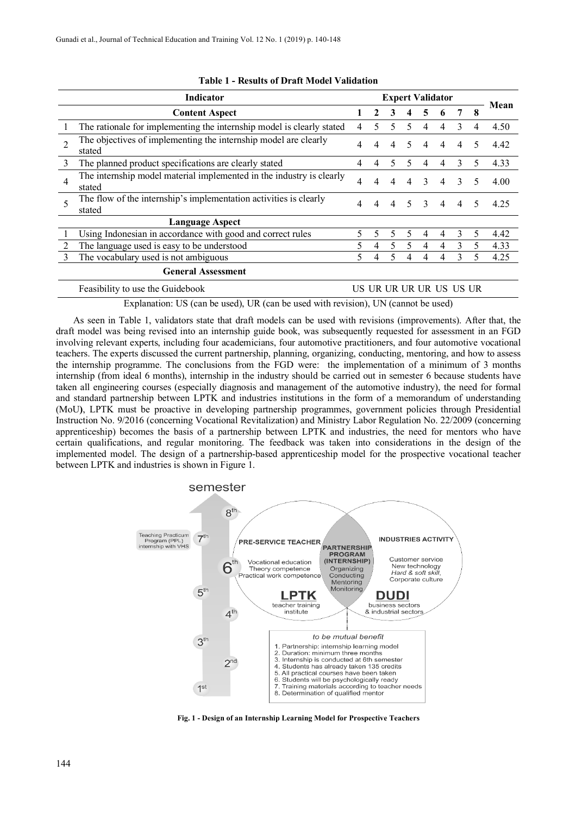| Indicator                 |                                                                                |    | <b>Expert Validator</b> |   |   |              |   |               |   |      |
|---------------------------|--------------------------------------------------------------------------------|----|-------------------------|---|---|--------------|---|---------------|---|------|
|                           | <b>Content Aspect</b>                                                          |    | 2                       | 3 |   | 5            | 6 | 7             | 8 | Mean |
|                           | The rationale for implementing the internship model is clearly stated          | 4  | 5.                      | 5 | 5 | 4            | 4 | 3             | 4 | 4.50 |
| $\mathfrak{D}$            | The objectives of implementing the internship model are clearly<br>stated      | 4  | 4                       | 4 | 5 | 4            | 4 | 4             | 5 | 4.42 |
| 3                         | The planned product specifications are clearly stated                          | 4  | 4                       | 5 |   |              |   | 3             | 5 | 4.33 |
| 4                         | The internship model material implemented in the industry is clearly<br>stated | 4  | 4                       | 4 |   | $\mathbf{3}$ | 4 | $\mathcal{F}$ | 5 | 4.00 |
|                           | The flow of the internship's implementation activities is clearly<br>stated    | 4  | 4                       | 4 | 5 | $\mathbf{3}$ | 4 | 4             | 5 | 4.25 |
| <b>Language Aspect</b>    |                                                                                |    |                         |   |   |              |   |               |   |      |
|                           | Using Indonesian in accordance with good and correct rules                     | 5. | 5.                      | 5 | 5 | 4            | 4 | $\mathbf{3}$  | 5 | 4.42 |
|                           | The language used is easy to be understood                                     |    | 4                       | 5 | 5 | 4            | 4 | 3             | 5 | 4.33 |
| 3                         | The vocabulary used is not ambiguous                                           |    | 4                       | 5 | 4 | 4            | 4 | 3             | 5 | 4.25 |
| <b>General Assessment</b> |                                                                                |    |                         |   |   |              |   |               |   |      |
|                           | US UR UR UR UR US US UR<br>Feasibility to use the Guidebook                    |    |                         |   |   |              |   |               |   |      |

#### **Table 1 - Results of Draft Model Validation**

Explanation: US (can be used), UR (can be used with revision), UN (cannot be used)

As seen in Table 1, validators state that draft models can be used with revisions (improvements). After that, the draft model was being revised into an internship guide book, was subsequently requested for assessment in an FGD involving relevant experts, including four academicians, four automotive practitioners, and four automotive vocational teachers. The experts discussed the current partnership, planning, organizing, conducting, mentoring, and how to assess the internship programme. The conclusions from the FGD were: the implementation of a minimum of 3 months internship (from ideal 6 months), internship in the industry should be carried out in semester 6 because students have taken all engineering courses (especially diagnosis and management of the automotive industry), the need for formal and standard partnership between LPTK and industries institutions in the form of a memorandum of understanding (MoU**)**, LPTK must be proactive in developing partnership programmes, government policies through Presidential Instruction No. 9/2016 (concerning Vocational Revitalization) and Ministry Labor Regulation No. 22/2009 (concerning apprenticeship) becomes the basis of a partnership between LPTK and industries, the need for mentors who have certain qualifications, and regular monitoring. The feedback was taken into considerations in the design of the implemented model. The design of a partnership-based apprenticeship model for the prospective vocational teacher between LPTK and industries is shown in Figure 1.



**Fig. 1 - Design of an Internship Learning Model for Prospective Teachers**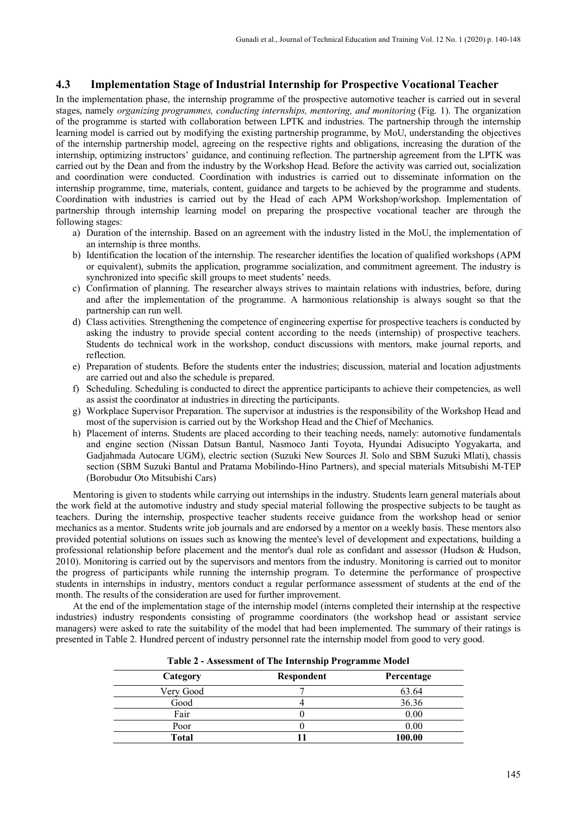# **4.3 Implementation Stage of Industrial Internship for Prospective Vocational Teacher**

In the implementation phase, the internship programme of the prospective automotive teacher is carried out in several stages, namely *organizing programmes, conducting internships, mentoring, and monitoring* (Fig. 1). The organization of the programme is started with collaboration between LPTK and industries. The partnership through the internship learning model is carried out by modifying the existing partnership programme, by MoU, understanding the objectives of the internship partnership model, agreeing on the respective rights and obligations, increasing the duration of the internship, optimizing instructors' guidance, and continuing reflection. The partnership agreement from the LPTK was carried out by the Dean and from the industry by the Workshop Head. Before the activity was carried out, socialization and coordination were conducted. Coordination with industries is carried out to disseminate information on the internship programme, time, materials, content, guidance and targets to be achieved by the programme and students. Coordination with industries is carried out by the Head of each APM Workshop/workshop. Implementation of partnership through internship learning model on preparing the prospective vocational teacher are through the following stages:

- a) Duration of the internship. Based on an agreement with the industry listed in the MoU, the implementation of an internship is three months.
- b) Identification the location of the internship. The researcher identifies the location of qualified workshops (APM or equivalent), submits the application, programme socialization, and commitment agreement. The industry is synchronized into specific skill groups to meet students' needs.
- c) Confirmation of planning. The researcher always strives to maintain relations with industries, before, during and after the implementation of the programme. A harmonious relationship is always sought so that the partnership can run well.
- d) Class activities. Strengthening the competence of engineering expertise for prospective teachers is conducted by asking the industry to provide special content according to the needs (internship) of prospective teachers. Students do technical work in the workshop, conduct discussions with mentors, make journal reports, and reflection.
- e) Preparation of students. Before the students enter the industries; discussion, material and location adjustments are carried out and also the schedule is prepared.
- f) Scheduling. Scheduling is conducted to direct the apprentice participants to achieve their competencies, as well as assist the coordinator at industries in directing the participants.
- g) Workplace Supervisor Preparation. The supervisor at industries is the responsibility of the Workshop Head and most of the supervision is carried out by the Workshop Head and the Chief of Mechanics.
- h) Placement of interns. Students are placed according to their teaching needs, namely: automotive fundamentals and engine section (Nissan Datsun Bantul, Nasmoco Janti Toyota, Hyundai Adisucipto Yogyakarta, and Gadjahmada Autocare UGM), electric section (Suzuki New Sources Jl. Solo and SBM Suzuki Mlati), chassis section (SBM Suzuki Bantul and Pratama Mobilindo-Hino Partners), and special materials Mitsubishi M-TEP (Borobudur Oto Mitsubishi Cars)

Mentoring is given to students while carrying out internships in the industry. Students learn general materials about the work field at the automotive industry and study special material following the prospective subjects to be taught as teachers. During the internship, prospective teacher students receive guidance from the workshop head or senior mechanics as a mentor. Students write job journals and are endorsed by a mentor on a weekly basis. These mentors also provided potential solutions on issues such as knowing the mentee's level of development and expectations, building a professional relationship before placement and the mentor's dual role as confidant and assessor (Hudson & Hudson, 2010). Monitoring is carried out by the supervisors and mentors from the industry. Monitoring is carried out to monitor the progress of participants while running the internship program. To determine the performance of prospective students in internships in industry, mentors conduct a regular performance assessment of students at the end of the month. The results of the consideration are used for further improvement.

At the end of the implementation stage of the internship model (interns completed their internship at the respective industries) industry respondents consisting of programme coordinators (the workshop head or assistant service managers) were asked to rate the suitability of the model that had been implemented. The summary of their ratings is presented in Table 2. Hundred percent of industry personnel rate the internship model from good to very good.

| Respondent<br>Category<br>Percentage |  |        |  |  |  |
|--------------------------------------|--|--------|--|--|--|
|                                      |  |        |  |  |  |
| Very Good                            |  | 63.64  |  |  |  |
| Good                                 |  | 36.36  |  |  |  |
| Fair                                 |  | 0.00   |  |  |  |
| Poor                                 |  | 0.00   |  |  |  |
| Total                                |  | 100.00 |  |  |  |

**Table 2 - Assessment of The Internship Programme Model**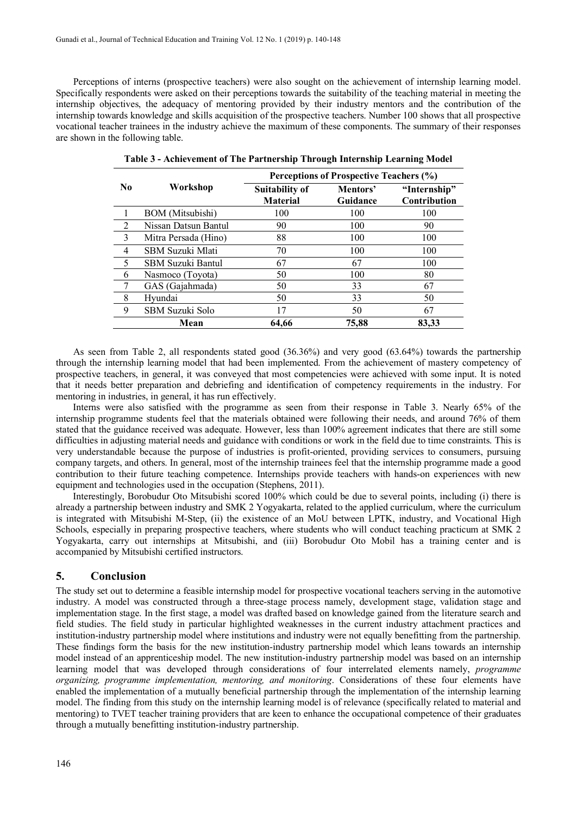Perceptions of interns (prospective teachers) were also sought on the achievement of internship learning model. Specifically respondents were asked on their perceptions towards the suitability of the teaching material in meeting the internship objectives, the adequacy of mentoring provided by their industry mentors and the contribution of the internship towards knowledge and skills acquisition of the prospective teachers. Number 100 shows that all prospective vocational teacher trainees in the industry achieve the maximum of these components. The summary of their responses are shown in the following table.

|                |                          | Perceptions of Prospective Teachers (%)  |                      |                              |  |  |  |
|----------------|--------------------------|------------------------------------------|----------------------|------------------------------|--|--|--|
| No.            | Workshop                 | <b>Suitability of</b><br><b>Material</b> | Mentors'<br>Guidance | "Internship"<br>Contribution |  |  |  |
|                | <b>BOM</b> (Mitsubishi)  | 100                                      | 100                  | 100                          |  |  |  |
| $\overline{2}$ | Nissan Datsun Bantul     | 90                                       | 100                  | 90                           |  |  |  |
| 3              | Mitra Persada (Hino)     | 88                                       | 100                  | 100                          |  |  |  |
| 4              | SBM Suzuki Mlati         | 70                                       | 100                  | 100                          |  |  |  |
| 5              | <b>SBM Suzuki Bantul</b> | 67                                       | 67                   | 100                          |  |  |  |
| 6              | Nasmoco (Toyota)         | 50                                       | 100                  | 80                           |  |  |  |
|                | GAS (Gajahmada)          | 50                                       | 33                   | 67                           |  |  |  |
| 8              | Hyundai                  | 50                                       | 33                   | 50                           |  |  |  |
| 9              | SBM Suzuki Solo          | 17                                       | 50                   | 67                           |  |  |  |
|                | Mean                     | 64.66                                    | 75,88                | 83,33                        |  |  |  |

**Table 3 - Achievement of The Partnership Through Internship Learning Model**

As seen from Table 2, all respondents stated good (36.36%) and very good (63.64%) towards the partnership through the internship learning model that had been implemented. From the achievement of mastery competency of prospective teachers, in general, it was conveyed that most competencies were achieved with some input. It is noted that it needs better preparation and debriefing and identification of competency requirements in the industry. For mentoring in industries, in general, it has run effectively.

Interns were also satisfied with the programme as seen from their response in Table 3. Nearly 65% of the internship programme students feel that the materials obtained were following their needs, and around 76% of them stated that the guidance received was adequate. However, less than 100% agreement indicates that there are still some difficulties in adjusting material needs and guidance with conditions or work in the field due to time constraints. This is very understandable because the purpose of industries is profit-oriented, providing services to consumers, pursuing company targets, and others. In general, most of the internship trainees feel that the internship programme made a good contribution to their future teaching competence. Internships provide teachers with hands-on experiences with new equipment and technologies used in the occupation (Stephens, 2011).

Interestingly, Borobudur Oto Mitsubishi scored 100% which could be due to several points, including (i) there is already a partnership between industry and SMK 2 Yogyakarta, related to the applied curriculum, where the curriculum is integrated with Mitsubishi M-Step, (ii) the existence of an MoU between LPTK, industry, and Vocational High Schools, especially in preparing prospective teachers, where students who will conduct teaching practicum at SMK 2 Yogyakarta, carry out internships at Mitsubishi, and (iii) Borobudur Oto Mobil has a training center and is accompanied by Mitsubishi certified instructors.

# **5. Conclusion**

The study set out to determine a feasible internship model for prospective vocational teachers serving in the automotive industry. A model was constructed through a three-stage process namely, development stage, validation stage and implementation stage. In the first stage, a model was drafted based on knowledge gained from the literature search and field studies. The field study in particular highlighted weaknesses in the current industry attachment practices and institution-industry partnership model where institutions and industry were not equally benefitting from the partnership. These findings form the basis for the new institution-industry partnership model which leans towards an internship model instead of an apprenticeship model. The new institution-industry partnership model was based on an internship learning model that was developed through considerations of four interrelated elements namely, *programme organizing, programme implementation, mentoring, and monitoring*. Considerations of these four elements have enabled the implementation of a mutually beneficial partnership through the implementation of the internship learning model. The finding from this study on the internship learning model is of relevance (specifically related to material and mentoring) to TVET teacher training providers that are keen to enhance the occupational competence of their graduates through a mutually benefitting institution-industry partnership.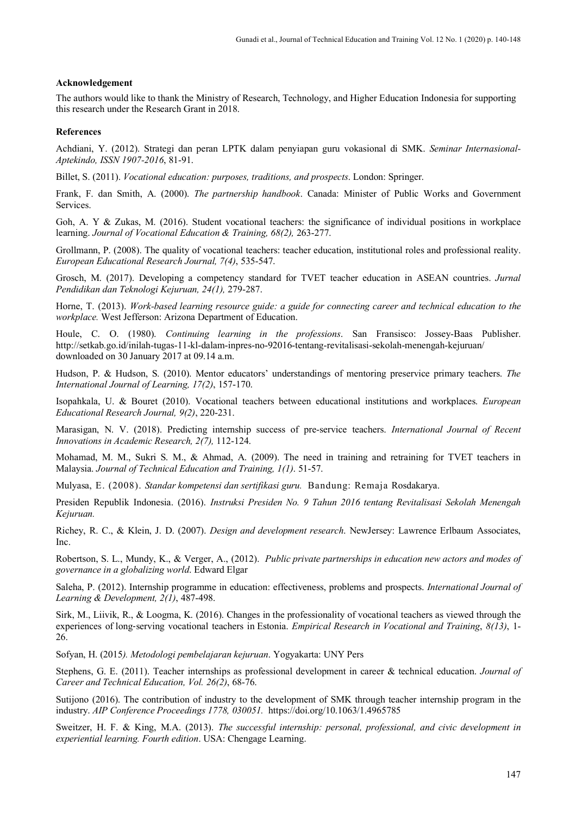#### **Acknowledgement**

The authors would like to thank the Ministry of Research, Technology, and Higher Education Indonesia for supporting this research under the Research Grant in 2018.

#### **References**

Achdiani, Y. (2012). Strategi dan peran LPTK dalam penyiapan guru vokasional di SMK. *Seminar Internasional-Aptekindo, ISSN 1907-2016*, 81-91.

Billet, S. (2011). *Vocational education: purposes, traditions, and prospects*. London: Springer.

Frank, F. dan Smith, A. (2000). *The partnership handbook*. Canada: Minister of Public Works and Government Services.

Goh, A. Y & Zukas, M. (2016). Student vocational teachers: the significance of individual positions in workplace learning. *Journal of Vocational Education & Training, 68(2),* 263-277.

Grollmann, P. (2008). The quality of vocational teachers: teacher education, institutional roles and professional reality. *European Educational Research Journal, 7(4)*, 535-547.

Grosch, M. (2017). Developing a competency standard for TVET teacher education in ASEAN countries. *Jurnal Pendidikan dan Teknologi Kejuruan, 24(1),* 279-287.

Horne, T. (2013). *Work-based learning resource guide: a guide for connecting career and technical education to the workplace.* West Jefferson: Arizona Department of Education.

Houle, C. O. (1980). *Continuing learning in the professions*. San Fransisco: Jossey-Baas Publisher. http://setkab.go.id/inilah-tugas-11-kl-dalam-inpres-no-92016-tentang-revitalisasi-sekolah-menengah-kejuruan/ downloaded on 30 January 2017 at 09.14 a.m.

Hudson, P. & Hudson, S. (2010). Mentor educators' understandings of mentoring preservice primary teachers. *The International Journal of Learning, 17(2)*, 157-170.

Isopahkala, U. & Bouret (2010). Vocational teachers between educational institutions and workplaces. *European Educational Research Journal, 9(2)*, 220-231.

Marasigan, N. V. (2018). Predicting internship success of pre-service teachers. *International Journal of Recent Innovations in Academic Research, 2(7),* 112-124.

Mohamad, M. M., Sukri S. M., & Ahmad, A. (2009). The need in training and retraining for TVET teachers in Malaysia. *Journal of Technical Education and Training, 1(1)*. 51-57.

Mulyasa, E. (2008). *Standar kompetensi dan sertifikasi guru.* Bandung: Remaja Rosdakarya.

Presiden Republik Indonesia. (2016). *Instruksi Presiden No. 9 Tahun 2016 tentang Revitalisasi Sekolah Menengah Kejuruan.*

Richey, R. C., & Klein, J. D. (2007). *Design and development research*. NewJersey: Lawrence Erlbaum Associates, Inc.

Robertson, S. L., Mundy, K., & Verger, A., (2012). *Public private partnerships in education new actors and modes of governance in a globalizing world*. Edward Elgar

Saleha, P. (2012). Internship programme in education: effectiveness, problems and prospects. *International Journal of Learning & Development, 2(1)*, 487-498.

Sirk, M., Liivik, R., & Loogma, K. (2016). Changes in the professionality of vocational teachers as viewed through the experiences of long-serving vocational teachers in Estonia. *Empirical Research in Vocational and Training*, *8(13)*, 1- 26.

Sofyan, H. (2015*). Metodologi pembelajaran kejuruan*. Yogyakarta: UNY Pers

Stephens, G. E. (2011). Teacher internships as professional development in career & technical education. *Journal of Career and Technical Education, Vol. 26(2)*, 68-76.

Sutijono (2016). The contribution of industry to the development of SMK through teacher internship program in the industry. *AIP Conference Proceedings 1778, 030051.* https://doi.org/10.1063/1.4965785

Sweitzer, H. F. & King, M.A. (2013). *The successful internship: personal, professional, and civic development in experiential learning. Fourth edition*. USA: Chengage Learning.